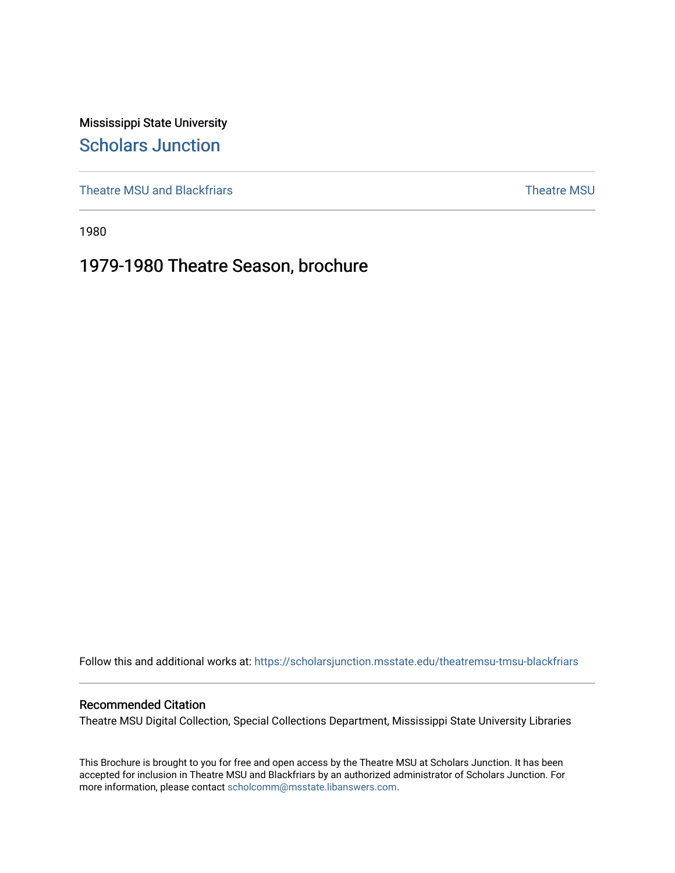Mississippi State University [Scholars Junction](https://scholarsjunction.msstate.edu/) 

[Theatre MSU and Blackfriars](https://scholarsjunction.msstate.edu/theatremsu-tmsu-blackfriars) [Theatre MSU](https://scholarsjunction.msstate.edu/theatremsu) and Blackfriars Theatre MSU and Theatre MSU

1980

# 1979-1980 Theatre Season, brochure

Follow this and additional works at: [https://scholarsjunction.msstate.edu/theatremsu-tmsu-blackfriars](https://scholarsjunction.msstate.edu/theatremsu-tmsu-blackfriars?utm_source=scholarsjunction.msstate.edu%2Ftheatremsu-tmsu-blackfriars%2F531&utm_medium=PDF&utm_campaign=PDFCoverPages) 

## Recommended Citation

Theatre MSU Digital Collection, Special Collections Department, Mississippi State University Libraries

This Brochure is brought to you for free and open access by the Theatre MSU at Scholars Junction. It has been accepted for inclusion in Theatre MSU and Blackfriars by an authorized administrator of Scholars Junction. For more information, please contact [scholcomm@msstate.libanswers.com](mailto:scholcomm@msstate.libanswers.com).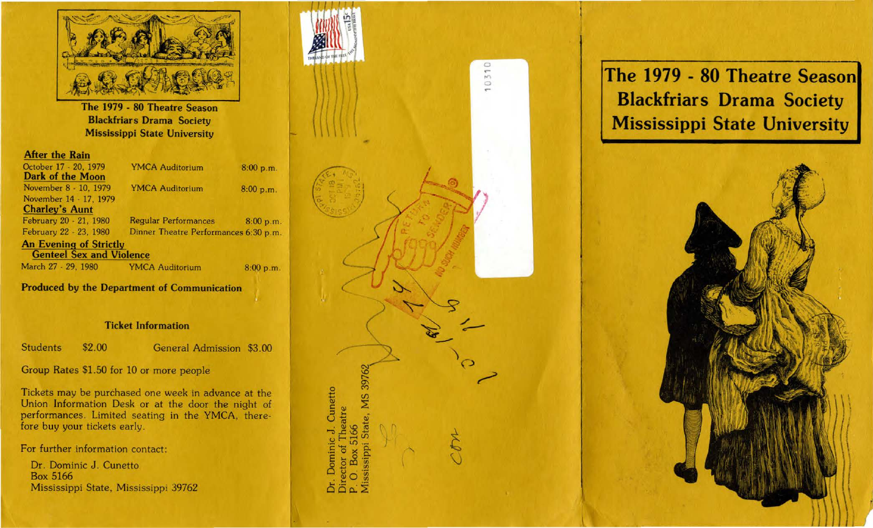

The 1979 - 80 Theatre Season Blackfriars Drama Society Mississippi State University

#### After the Rain

| October 17 - 20, 1979<br><b>Dark of the Moon</b> | <b>YMCA Auditorium</b>                | 8:00 p.m. |
|--------------------------------------------------|---------------------------------------|-----------|
| November 8 - 10, 1979                            | <b>YMCA Auditorium</b>                | 8:00 p.m. |
| November 14 - 17, 1979                           |                                       |           |
| <b>Charley's Aunt</b>                            |                                       |           |
| February 20 - 21, 1980                           | <b>Regular Performances</b>           | 8:00 p.m. |
| February 22 - 23, 1980                           | Dinner Theatre Performances 6:30 p.m. |           |
| <b>An Evening of Strictly</b>                    |                                       |           |
| <b>Genteel Sex and Violence</b>                  |                                       |           |
| March 27 - 29, 1980                              | <b>YMCA Auditorium</b>                | 8:00 p.m. |

Produced by the Department of Communication

## Ticket Information

Students \$2.00 General Admission \$3.00

Group Rates \$1.50 for 10 or more people

Tickets may be purchased one week in advance at the Union Information Desk or at the door the night of performances. Limited seating in the YMCA, therefore buy your tickets early.

For further information contact:

Dr. Dominic J. Cunetto Box 5166 Mississippi State, Mississippi 39762



**The 1979 - 80 Theatre Season Blackfriars Drama Society Mississippi State University**